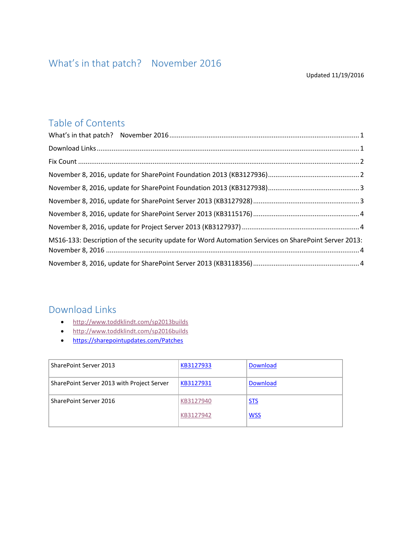### <span id="page-0-0"></span>Table of Contents

| MS16-133: Description of the security update for Word Automation Services on SharePoint Server 2013: |  |
|------------------------------------------------------------------------------------------------------|--|
|                                                                                                      |  |

#### <span id="page-0-1"></span>Download Links

- <http://www.toddklindt.com/sp2013builds>
- <http://www.toddklindt.com/sp2016builds>
- <https://sharepointupdates.com/Patches>

| SharePoint Server 2013                     | KB3127933 | <b>Download</b> |
|--------------------------------------------|-----------|-----------------|
| SharePoint Server 2013 with Project Server | KB3127931 | <b>Download</b> |
| SharePoint Server 2016                     | KB3127940 | <u>STS</u>      |
|                                            | KB3127942 | <b>WSS</b>      |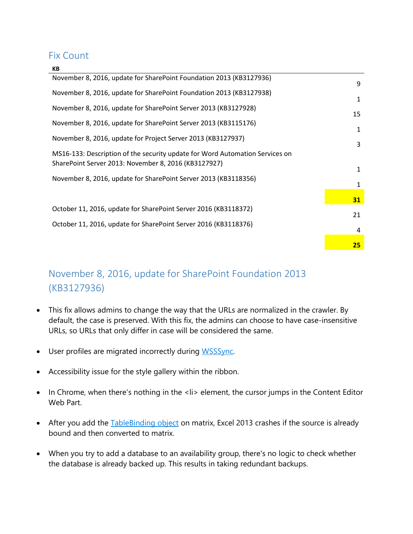#### <span id="page-1-0"></span>Fix Count

**KB**

| November 8, 2016, update for SharePoint Foundation 2013 (KB3127936)          | 9         |
|------------------------------------------------------------------------------|-----------|
| November 8, 2016, update for SharePoint Foundation 2013 (KB3127938)          | 1         |
| November 8, 2016, update for SharePoint Server 2013 (KB3127928)              | 15        |
| November 8, 2016, update for SharePoint Server 2013 (KB3115176)              | 1         |
| November 8, 2016, update for Project Server 2013 (KB3127937)                 | 3         |
| MS16-133: Description of the security update for Word Automation Services on |           |
| SharePoint Server 2013: November 8, 2016 (KB3127927)                         | 1         |
| November 8, 2016, update for SharePoint Server 2013 (KB3118356)              | 1         |
|                                                                              | <b>31</b> |
| October 11, 2016, update for SharePoint Server 2016 (KB3118372)              | 21        |
| October 11, 2016, update for SharePoint Server 2016 (KB3118376)              | 4         |
|                                                                              | <b>25</b> |
|                                                                              |           |

# <span id="page-1-1"></span>November 8, 2016, update for SharePoint Foundation 2013 (KB3127936)

- This fix allows admins to change the way that the URLs are normalized in the crawler. By default, the case is preserved. With this fix, the admins can choose to have case-insensitive URLs, so URLs that only differ in case will be considered the same.
- User profiles are migrated incorrectly during [WSSSync.](https://msdn.microsoft.com/en-us/library/office/microsoft.office.project.server.library.wsssync_di_pj14mref.aspx)
- Accessibility issue for the style gallery within the ribbon.
- In Chrome, when there's nothing in the <li> element, the cursor jumps in the Content Editor Web Part.
- After you add the Table Binding object on matrix, Excel 2013 crashes if the source is already bound and then converted to matrix.
- When you try to add a database to an availability group, there's no logic to check whether the database is already backed up. This results in taking redundant backups.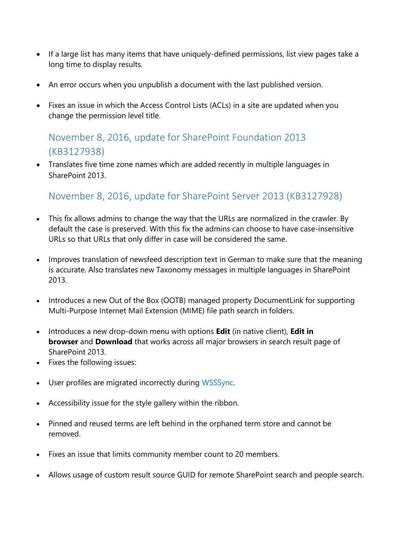- If a large list has many items that have uniquely-defined permissions, list view pages take a long time to display results.
- An error occurs when you unpublish a document with the last published version.
- Fixes an issue in which the Access Control Lists (ACLs) in a site are updated when you change the permission level title.

## <span id="page-2-0"></span>November 8, 2016, update for SharePoint Foundation 2013 (KB3127938)

 Translates five time zone names which are added recently in multiple languages in SharePoint 2013.

### <span id="page-2-1"></span>November 8, 2016, update for SharePoint Server 2013 (KB3127928)

- This fix allows admins to change the way that the URLs are normalized in the crawler. By default the case is preserved. With this fix the admins can choose to have case-insensitive URLs so that URLs that only differ in case will be considered the same.
- Improves translation of newsfeed description text in German to make sure that the meaning is accurate. Also translates new Taxonomy messages in multiple languages in SharePoint 2013.
- Introduces a new Out of the Box (OOTB) managed property DocumentLink for supporting Multi-Purpose Internet Mail Extension (MIME) file path search in folders.
- Introduces a new drop-down menu with options **Edit** (in native client), **Edit in browser** and **Download** that works across all major browsers in search result page of SharePoint 2013.
- Fixes the following issues:
- User profiles are migrated incorrectly during [WSSSync.](https://msdn.microsoft.com/en-us/library/office/microsoft.office.project.server.library.wsssync_di_pj14mref.aspx)
- Accessibility issue for the style gallery within the ribbon.
- Pinned and reused terms are left behind in the orphaned term store and cannot be removed.
- Fixes an issue that limits community member count to 20 members.
- Allows usage of custom result source GUID for remote SharePoint search and people search.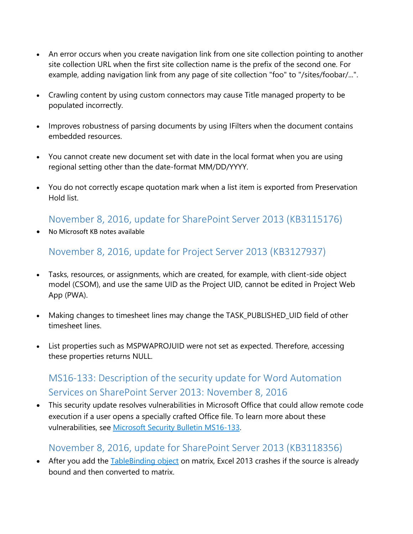- An error occurs when you create navigation link from one site collection pointing to another site collection URL when the first site collection name is the prefix of the second one. For example, adding navigation link from any page of site collection "foo" to "/sites/foobar/...".
- Crawling content by using custom connectors may cause Title managed property to be populated incorrectly.
- Improves robustness of parsing documents by using IFilters when the document contains embedded resources.
- You cannot create new document set with date in the local format when you are using regional setting other than the date-format MM/DD/YYYY.
- You do not correctly escape quotation mark when a list item is exported from Preservation Hold list.

<span id="page-3-0"></span>November 8, 2016, update for SharePoint Server 2013 (KB3115176)

No Microsoft KB notes available

<span id="page-3-1"></span>November 8, 2016, update for Project Server 2013 (KB3127937)

- Tasks, resources, or assignments, which are created, for example, with client-side object model (CSOM), and use the same UID as the Project UID, cannot be edited in Project Web App (PWA).
- Making changes to timesheet lines may change the TASK PUBLISHED UID field of other timesheet lines.
- List properties such as MSPWAPROJUID were not set as expected. Therefore, accessing these properties returns NULL.

## <span id="page-3-2"></span>MS16-133: Description of the security update for Word Automation Services on SharePoint Server 2013: November 8, 2016

 This security update resolves vulnerabilities in Microsoft Office that could allow remote code execution if a user opens a specially crafted Office file. To learn more about these vulnerabilities, see [Microsoft Security Bulletin MS16-133.](https://technet.microsoft.com/library/security/MS16-133)

#### <span id="page-3-3"></span>November 8, 2016, update for SharePoint Server 2013 (KB3118356)

• After you add the Table Binding object on matrix, Excel 2013 crashes if the source is already bound and then converted to matrix.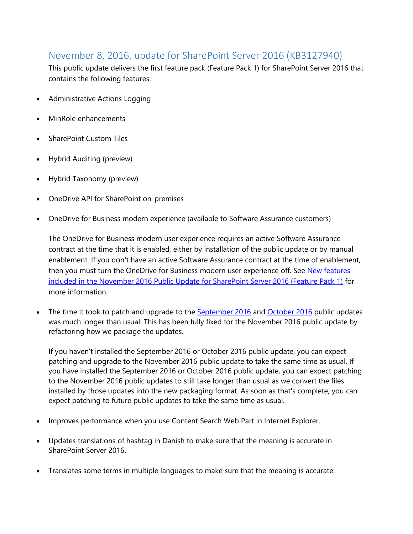### November 8, 2016, update for SharePoint Server 2016 (KB3127940)

This public update delivers the first feature pack (Feature Pack 1) for SharePoint Server 2016 that contains the following features:

- Administrative Actions Logging
- MinRole enhancements
- SharePoint Custom Tiles
- Hybrid Auditing (preview)
- Hybrid Taxonomy (preview)
- OneDrive API for SharePoint on-premises
- OneDrive for Business modern experience (available to Software Assurance customers)

The OneDrive for Business modern user experience requires an active Software Assurance contract at the time that it is enabled, either by installation of the public update or by manual enablement. If you don't have an active Software Assurance contract at the time of enablement, then you must turn the OneDrive for Business modern user experience off. See New features [included in the November 2016 Public Update for SharePoint Server 2016 \(Feature Pack 1\)](https://go.microsoft.com/fwlink/?linkid=832679) for more information.

The time it took to patch and upgrade to the **[September 2016](https://support.microsoft.com/kb/3118289)** and **[October 2016](https://support.microsoft.com/kb/3118372)** public updates was much longer than usual. This has been fully fixed for the November 2016 public update by refactoring how we package the updates.

If you haven't installed the September 2016 or October 2016 public update, you can expect patching and upgrade to the November 2016 public update to take the same time as usual. If you have installed the September 2016 or October 2016 public update, you can expect patching to the November 2016 public updates to still take longer than usual as we convert the files installed by those updates into the new packaging format. As soon as that's complete, you can expect patching to future public updates to take the same time as usual.

- Improves performance when you use Content Search Web Part in Internet Explorer.
- Updates translations of hashtag in Danish to make sure that the meaning is accurate in SharePoint Server 2016.
- Translates some terms in multiple languages to make sure that the meaning is accurate.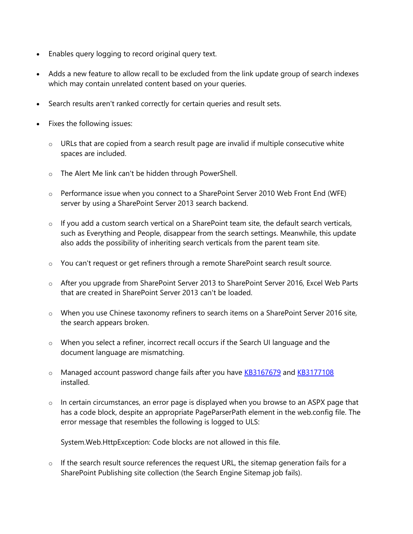- Enables query logging to record original query text.
- Adds a new feature to allow recall to be excluded from the link update group of search indexes which may contain unrelated content based on your queries.
- Search results aren't ranked correctly for certain queries and result sets.
- Fixes the following issues:
	- $\circ$  URLs that are copied from a search result page are invalid if multiple consecutive white spaces are included.
	- o The Alert Me link can't be hidden through PowerShell.
	- o Performance issue when you connect to a SharePoint Server 2010 Web Front End (WFE) server by using a SharePoint Server 2013 search backend.
	- $\circ$  If you add a custom search vertical on a SharePoint team site, the default search verticals, such as Everything and People, disappear from the search settings. Meanwhile, this update also adds the possibility of inheriting search verticals from the parent team site.
	- o You can't request or get refiners through a remote SharePoint search result source.
	- o After you upgrade from SharePoint Server 2013 to SharePoint Server 2016, Excel Web Parts that are created in SharePoint Server 2013 can't be loaded.
	- o When you use Chinese taxonomy refiners to search items on a SharePoint Server 2016 site, the search appears broken.
	- o When you select a refiner, incorrect recall occurs if the Search UI language and the document language are mismatching.
	- o Managed account password change fails after you have [KB3167679](http://support.microsoft.com/kb/3167679) and [KB3177108](http://support.microsoft.com/kb/3177108) installed.
	- $\circ$  In certain circumstances, an error page is displayed when you browse to an ASPX page that has a code block, despite an appropriate PageParserPath element in the web.config file. The error message that resembles the following is logged to ULS:

System.Web.HttpException: Code blocks are not allowed in this file.

 $\circ$  If the search result source references the request URL, the sitemap generation fails for a SharePoint Publishing site collection (the Search Engine Sitemap job fails).